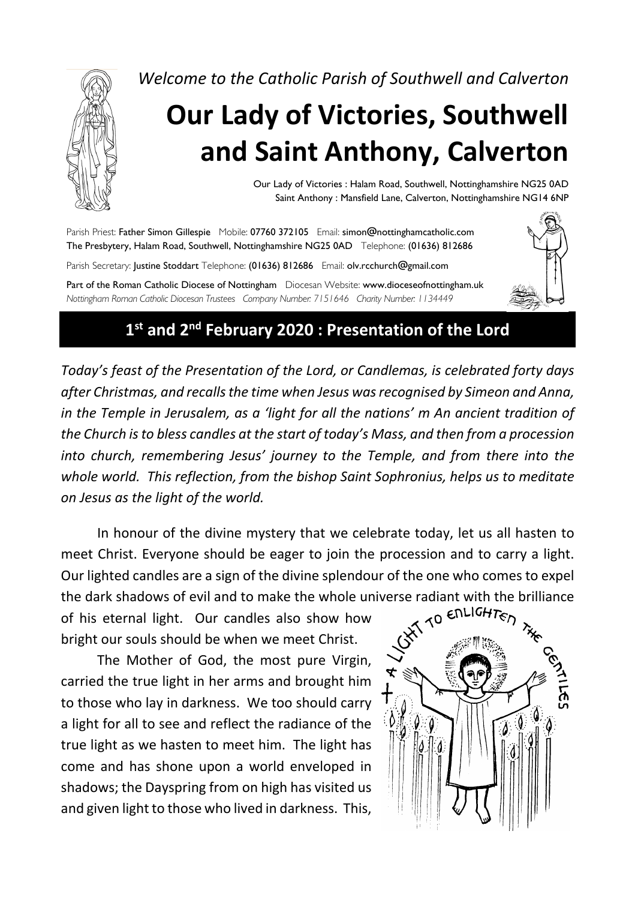

*Welcome to the Catholic Parish of Southwell and Calverton*

# **Our Lady of Victories, Southwell and Saint Anthony, Calverton**

Our Lady of Victories : Halam Road, Southwell, Nottinghamshire NG25 0AD Saint Anthony : Mansfield Lane, Calverton, Nottinghamshire NG14 6NP

Parish Priest: Father Simon Gillespie Mobile: 07760 372105 Email: simon@nottinghamcatholic.com The Presbytery, Halam Road, Southwell, Nottinghamshire NG25 0AD Telephone: (01636) 812686 Parish Secretary: Justine Stoddart Telephone: (01636) 812686 Email: olv.rcchurch@gmail.com Part of the Roman Catholic Diocese of Nottingham Diocesan Website: www.dioceseofnottingham.uk *Nottingham Roman Catholic Diocesan Trustees Company Number: 7151646 Charity Number: 1134449*



*Today's feast of the Presentation of the Lord, or Candlemas, is celebrated forty days after Christmas, and recalls the time when Jesus was recognised by Simeon and Anna, in the Temple in Jerusalem, as a 'light for all the nations' m An ancient tradition of the Church is to bless candles at the start of today's Mass, and then from a procession into church, remembering Jesus' journey to the Temple, and from there into the whole world. This reflection, from the bishop Saint Sophronius, helps us to meditate on Jesus as the light of the world.*

In honour of the divine mystery that we celebrate today, let us all hasten to meet Christ. Everyone should be eager to join the procession and to carry a light. Our lighted candles are a sign of the divine splendour of the one who comes to expel

the dark shadows of evil and to make the whole universe radiant with the brilliance<br>of his eternal light. Our candles also show how<br>bright our souls should be when we meet Christ. of his eternal light. Our candles also show how bright our souls should be when we meet Christ.

The Mother of God, the most pure Virgin, carried the true light in her arms and brought him to those who lay in darkness. We too should carry a light for all to see and reflect the radiance of the true light as we hasten to meet him. The light has come and has shone upon a world enveloped in shadows; the Dayspring from on high has visited us and given light to those who lived in darkness. This,

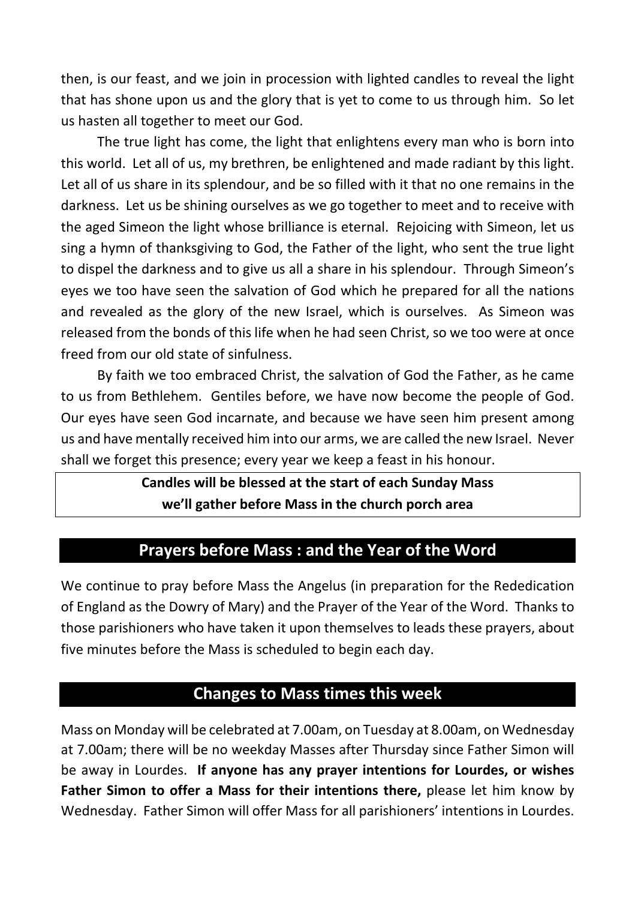then, is our feast, and we join in procession with lighted candles to reveal the light that has shone upon us and the glory that is yet to come to us through him. So let us hasten all together to meet our God.

The true light has come, the light that enlightens every man who is born into this world. Let all of us, my brethren, be enlightened and made radiant by this light. Let all of us share in its splendour, and be so filled with it that no one remains in the darkness. Let us be shining ourselves as we go together to meet and to receive with the aged Simeon the light whose brilliance is eternal. Rejoicing with Simeon, let us sing a hymn of thanksgiving to God, the Father of the light, who sent the true light to dispel the darkness and to give us all a share in his splendour. Through Simeon's eyes we too have seen the salvation of God which he prepared for all the nations and revealed as the glory of the new Israel, which is ourselves. As Simeon was released from the bonds of this life when he had seen Christ, so we too were at once freed from our old state of sinfulness.

By faith we too embraced Christ, the salvation of God the Father, as he came to us from Bethlehem. Gentiles before, we have now become the people of God. Our eyes have seen God incarnate, and because we have seen him present among us and have mentally received him into our arms, we are called the new Israel. Never shall we forget this presence; every year we keep a feast in his honour.

## **Candles will be blessed at the start of each Sunday Mass we'll gather before Mass in the church porch area**

## **Prayers before Mass : and the Year of the Word**

We continue to pray before Mass the Angelus (in preparation for the Rededication of England as the Dowry of Mary) and the Prayer of the Year of the Word. Thanks to those parishioners who have taken it upon themselves to leads these prayers, about five minutes before the Mass is scheduled to begin each day.

### **Changes to Mass times this week**

Mass on Monday will be celebrated at 7.00am, on Tuesday at 8.00am, on Wednesday at 7.00am; there will be no weekday Masses after Thursday since Father Simon will be away in Lourdes. **If anyone has any prayer intentions for Lourdes, or wishes Father Simon to offer a Mass for their intentions there,** please let him know by Wednesday. Father Simon will offer Mass for all parishioners' intentions in Lourdes.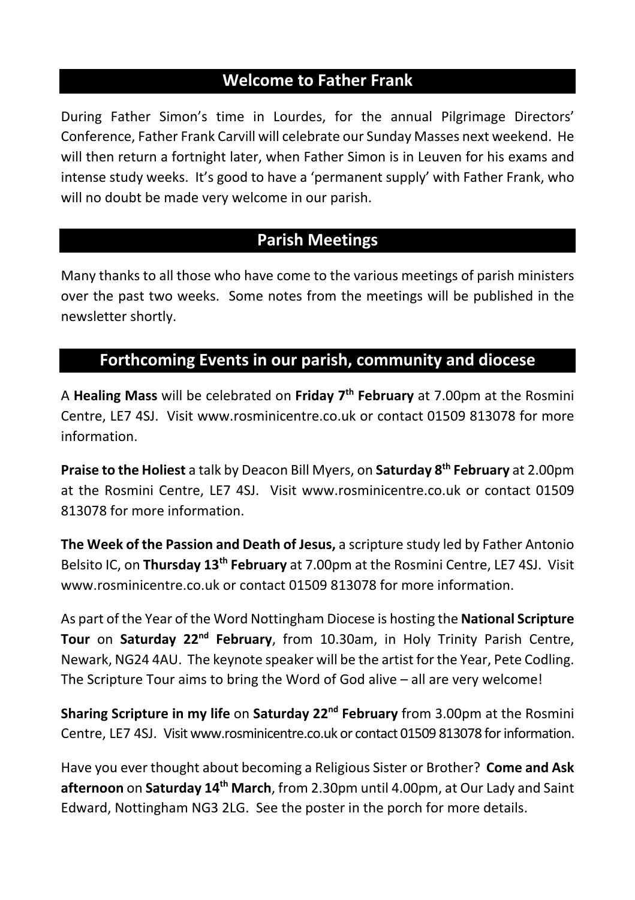## **Welcome to Father Frank**

During Father Simon's time in Lourdes, for the annual Pilgrimage Directors' Conference, Father Frank Carvill will celebrate our Sunday Masses next weekend. He will then return a fortnight later, when Father Simon is in Leuven for his exams and intense study weeks. It's good to have a 'permanent supply' with Father Frank, who will no doubt be made very welcome in our parish.

## **Parish Meetings**

Many thanks to all those who have come to the various meetings of parish ministers over the past two weeks. Some notes from the meetings will be published in the newsletter shortly.

## **Forthcoming Events in our parish, community and diocese**

A **Healing Mass** will be celebrated on **Friday 7th February** at 7.00pm at the Rosmini Centre, LE7 4SJ. Visit www.rosminicentre.co.uk or contact 01509 813078 for more information.

**Praise to the Holiest** a talk by Deacon Bill Myers, on **Saturday 8th February** at 2.00pm at the Rosmini Centre, LE7 4SJ. Visit www.rosminicentre.co.uk or contact 01509 813078 for more information.

**The Week of the Passion and Death of Jesus,** a scripture study led by Father Antonio Belsito IC, on **Thursday 13th February** at 7.00pm at the Rosmini Centre, LE7 4SJ. Visit www.rosminicentre.co.uk or contact 01509 813078 for more information.

As part of the Year of the Word Nottingham Diocese is hosting the **National Scripture Tour** on **Saturday 22<sup>nd</sup> February**, from 10.30am, in Holy Trinity Parish Centre, Newark, NG24 4AU. The keynote speaker will be the artist for the Year, Pete Codling. The Scripture Tour aims to bring the Word of God alive – all are very welcome!

**Sharing Scripture in my life** on **Saturday 22nd February** from 3.00pm at the Rosmini Centre, LE7 4SJ. Visit www.rosminicentre.co.uk or contact 01509 813078 forinformation.

Have you ever thought about becoming a Religious Sister or Brother? **Come and Ask afternoon** on **Saturday 14th March**, from 2.30pm until 4.00pm, at Our Lady and Saint Edward, Nottingham NG3 2LG. See the poster in the porch for more details.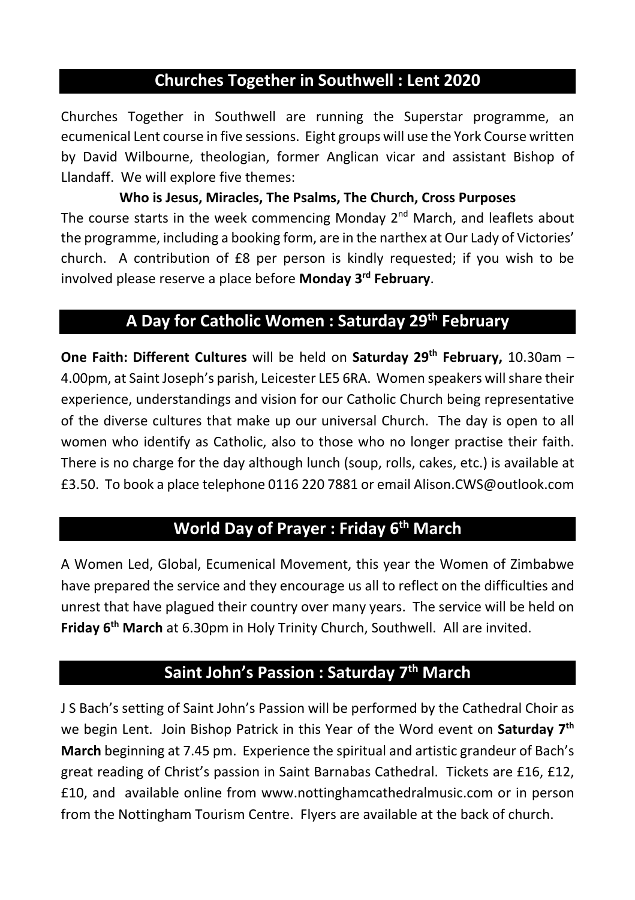## **Churches Together in Southwell : Lent 2020**

Churches Together in Southwell are running the Superstar programme, an ecumenical Lent course in five sessions. Eight groups will use the York Course written by David Wilbourne, theologian, former Anglican vicar and assistant Bishop of Llandaff. We will explore five themes:

**Who is Jesus, Miracles, The Psalms, The Church, Cross Purposes** The course starts in the week commencing Monday  $2^{nd}$  March, and leaflets about the programme, including a booking form, are in the narthex at Our Lady of Victories' church. A contribution of £8 per person is kindly requested; if you wish to be involved please reserve a place before **Monday 3rd February**.

## **A Day for Catholic Women : Saturday 29th February**

**One Faith: Different Cultures** will be held on Saturday 29<sup>th</sup> February, 10.30am -4.00pm, at Saint Joseph's parish, Leicester LE5 6RA. Women speakers will share their experience, understandings and vision for our Catholic Church being representative of the diverse cultures that make up our universal Church. The day is open to all women who identify as Catholic, also to those who no longer practise their faith. There is no charge for the day although lunch (soup, rolls, cakes, etc.) is available at £3.50. To book a place telephone 0116 220 7881 or email Alison.CWS@outlook.com

## **World Day of Prayer : Friday 6th March**

A Women Led, Global, Ecumenical Movement, this year the Women of Zimbabwe have prepared the service and they encourage us all to reflect on the difficulties and unrest that have plagued their country over many years. The service will be held on **Friday 6th March** at 6.30pm in Holy Trinity Church, Southwell. All are invited.

## **Saint John's Passion : Saturday 7th March**

J S Bach's setting of Saint John's Passion will be performed by the Cathedral Choir as we begin Lent. Join Bishop Patrick in this Year of the Word event on **Saturday 7th March** beginning at 7.45 pm. Experience the spiritual and artistic grandeur of Bach's great reading of Christ's passion in Saint Barnabas Cathedral. Tickets are £16, £12, £10, and available online from www.nottinghamcathedralmusic.com or in person from the Nottingham Tourism Centre. Flyers are available at the back of church.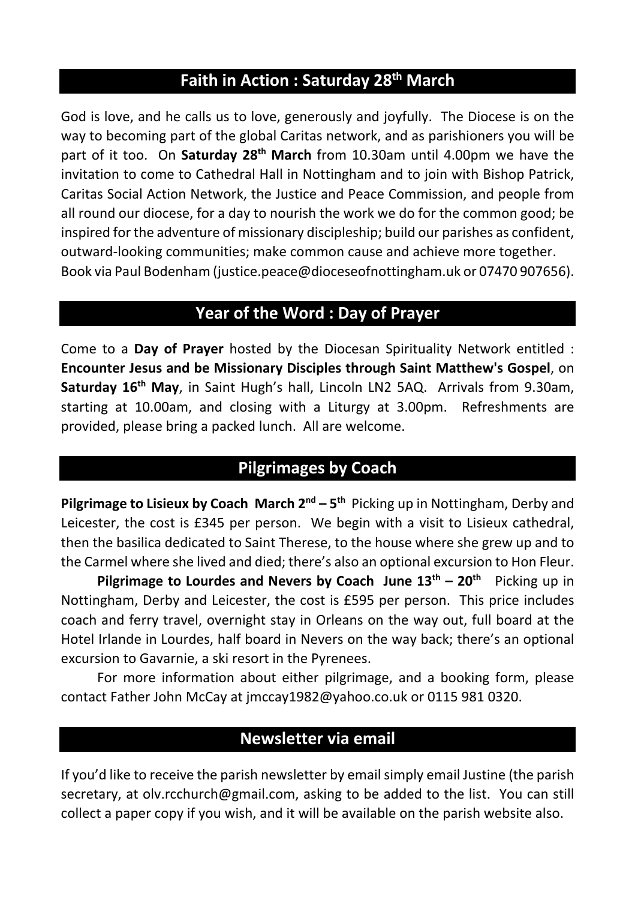## **Faith in Action : Saturday 28th March**

God is love, and he calls us to love, generously and joyfully. The Diocese is on the way to becoming part of the global Caritas network, and as parishioners you will be part of it too. On **Saturday 28th March** from 10.30am until 4.00pm we have the invitation to come to Cathedral Hall in Nottingham and to join with Bishop Patrick, Caritas Social Action Network, the Justice and Peace Commission, and people from all round our diocese, for a day to nourish the work we do for the common good; be inspired for the adventure of missionary discipleship; build our parishes as confident, outward-looking communities; make common cause and achieve more together. Book via Paul Bodenham (justice.peace@dioceseofnottingham.uk or 07470 907656).

#### **Year of the Word : Day of Prayer**

Come to a **Day of Prayer** hosted by the Diocesan Spirituality Network entitled : **Encounter Jesus and be Missionary Disciples through Saint Matthew's Gospel**, on **Saturday 16th May**, in Saint Hugh's hall, Lincoln LN2 5AQ. Arrivals from 9.30am, starting at 10.00am, and closing with a Liturgy at 3.00pm. Refreshments are provided, please bring a packed lunch. All are welcome.

## **Pilgrimages by Coach**

**Pilgrimage to Lisieux by Coach March 2<sup>nd</sup> – 5<sup>th</sup> Picking up in Nottingham, Derby and** Leicester, the cost is £345 per person. We begin with a visit to Lisieux cathedral, then the basilica dedicated to Saint Therese, to the house where she grew up and to the Carmel where she lived and died; there's also an optional excursion to Hon Fleur.

**Pilgrimage to Lourdes and Nevers by Coach June**  $13^{th}$  **–**  $20^{th}$  **Picking up in** Nottingham, Derby and Leicester, the cost is £595 per person. This price includes coach and ferry travel, overnight stay in Orleans on the way out, full board at the Hotel Irlande in Lourdes, half board in Nevers on the way back; there's an optional excursion to Gavarnie, a ski resort in the Pyrenees.

For more information about either pilgrimage, and a booking form, please contact Father John McCay at jmccay1982@yahoo.co.uk or 0115 981 0320.

### **Newsletter via email**

If you'd like to receive the parish newsletter by email simply email Justine (the parish secretary, at olv.rcchurch@gmail.com, asking to be added to the list. You can still collect a paper copy if you wish, and it will be available on the parish website also.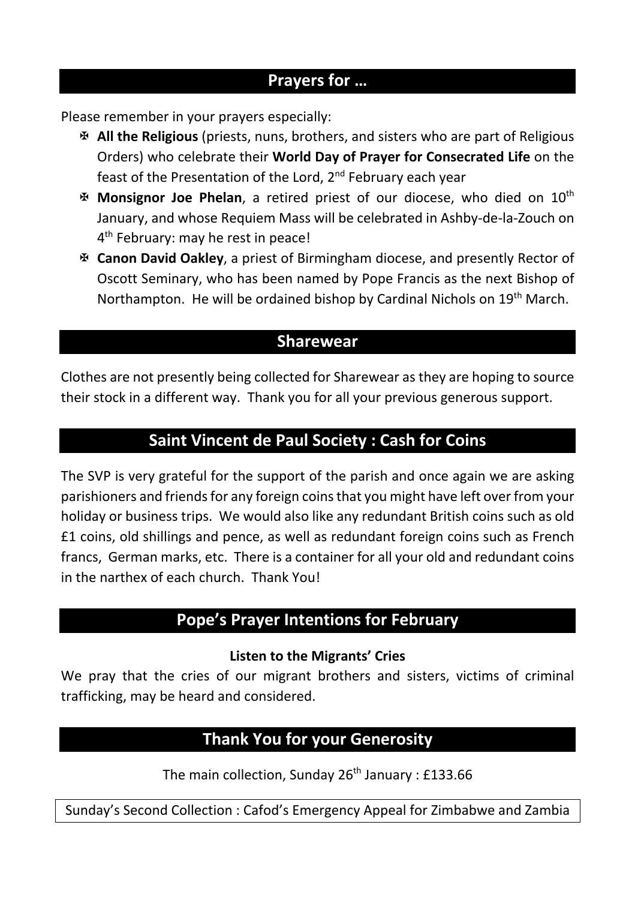## **Prayers for …**

Please remember in your prayers especially:

- X **All the Religious** (priests, nuns, brothers, and sisters who are part of Religious Orders) who celebrate their **World Day of Prayer for Consecrated Life** on the feast of the Presentation of the Lord, 2<sup>nd</sup> February each vear
- X **Monsignor Joe Phelan**, a retired priest of our diocese, who died on 10th January, and whose Requiem Mass will be celebrated in Ashby-de-la-Zouch on 4<sup>th</sup> February: may he rest in peace!
- X **Canon David Oakley**, a priest of Birmingham diocese, and presently Rector of Oscott Seminary, who has been named by Pope Francis as the next Bishop of Northampton. He will be ordained bishop by Cardinal Nichols on  $19<sup>th</sup>$  March.

## **Sharewear**

Clothes are not presently being collected for Sharewear as they are hoping to source their stock in a different way. Thank you for all your previous generous support.

### **Saint Vincent de Paul Society : Cash for Coins**

The SVP is very grateful for the support of the parish and once again we are asking parishioners and friendsfor any foreign coins that you might have left over from your holiday or business trips. We would also like any redundant British coins such as old £1 coins, old shillings and pence, as well as redundant foreign coins such as French francs, German marks, etc. There is a container for all your old and redundant coins in the narthex of each church. Thank You!

## **Pope's Prayer Intentions for February**

#### **Listen to the Migrants' Cries**

We pray that the cries of our migrant brothers and sisters, victims of criminal trafficking, may be heard and considered.

## **Thank You for your Generosity**

The main collection, Sunday  $26<sup>th</sup>$  January : £133.66

Sunday's Second Collection : Cafod's Emergency Appeal for Zimbabwe and Zambia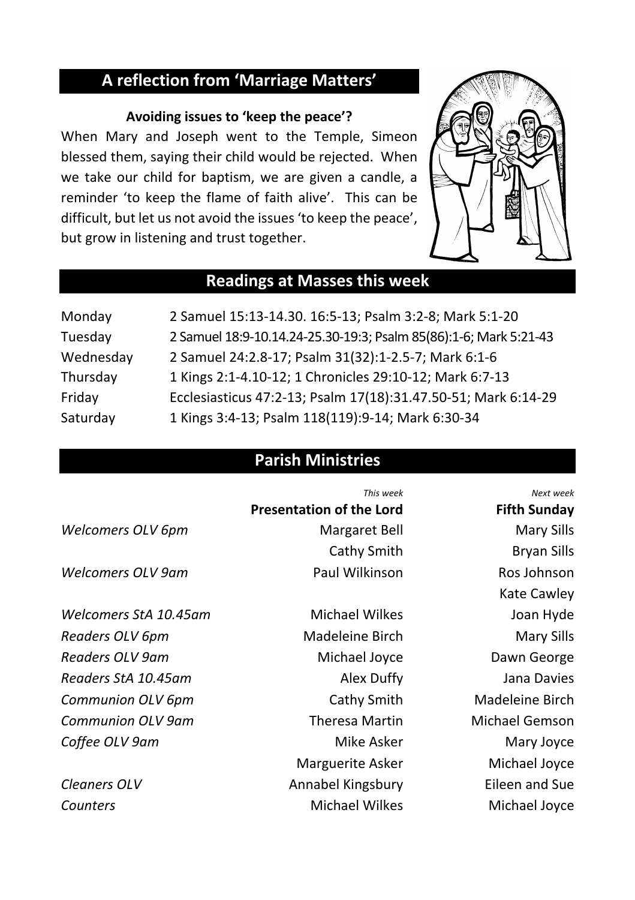## **A reflection from 'Marriage Matters'**

#### **Avoiding issues to 'keep the peace'?**

When Mary and Joseph went to the Temple, Simeon blessed them, saying their child would be rejected. When we take our child for baptism, we are given a candle, a reminder 'to keep the flame of faith alive'. This can be difficult, but let us not avoid the issues 'to keep the peace', but grow in listening and trust together.



## **Readings at Masses this week**

| Monday    | 2 Samuel 15:13-14.30. 16:5-13; Psalm 3:2-8; Mark 5:1-20           |
|-----------|-------------------------------------------------------------------|
| Tuesday   | 2 Samuel 18:9-10.14.24-25.30-19:3; Psalm 85(86):1-6; Mark 5:21-43 |
| Wednesday | 2 Samuel 24:2.8-17; Psalm 31(32):1-2.5-7; Mark 6:1-6              |
| Thursday  | 1 Kings 2:1-4.10-12; 1 Chronicles 29:10-12; Mark 6:7-13           |
| Friday    | Ecclesiasticus 47:2-13; Psalm 17(18):31.47.50-51; Mark 6:14-29    |
| Saturday  | 1 Kings 3:4-13; Psalm 118(119):9-14; Mark 6:30-34                 |

## **Parish Ministries**

|                       | This week                       | Next week           |
|-----------------------|---------------------------------|---------------------|
|                       | <b>Presentation of the Lord</b> | <b>Fifth Sunday</b> |
| Welcomers OLV 6pm     | Margaret Bell                   | <b>Mary Sills</b>   |
|                       | Cathy Smith                     | <b>Bryan Sills</b>  |
| Welcomers OLV 9am     | Paul Wilkinson                  | Ros Johnson         |
|                       |                                 | Kate Cawley         |
| Welcomers StA 10.45am | <b>Michael Wilkes</b>           | Joan Hyde           |
| Readers OLV 6pm       | Madeleine Birch                 | Mary Sills          |
| Readers OLV 9am       | Michael Joyce                   | Dawn George         |
| Readers StA 10.45am   | Alex Duffy                      | Jana Davies         |
| Communion OLV 6pm     | Cathy Smith                     | Madeleine Birch     |
| Communion OLV 9am     | <b>Theresa Martin</b>           | Michael Gemson      |
| Coffee OLV 9am        | Mike Asker                      | Mary Joyce          |
|                       | Marguerite Asker                | Michael Joyce       |
| Cleaners OLV          | Annabel Kingsbury               | Eileen and Sue      |
| Counters              | <b>Michael Wilkes</b>           | Michael Joyce       |